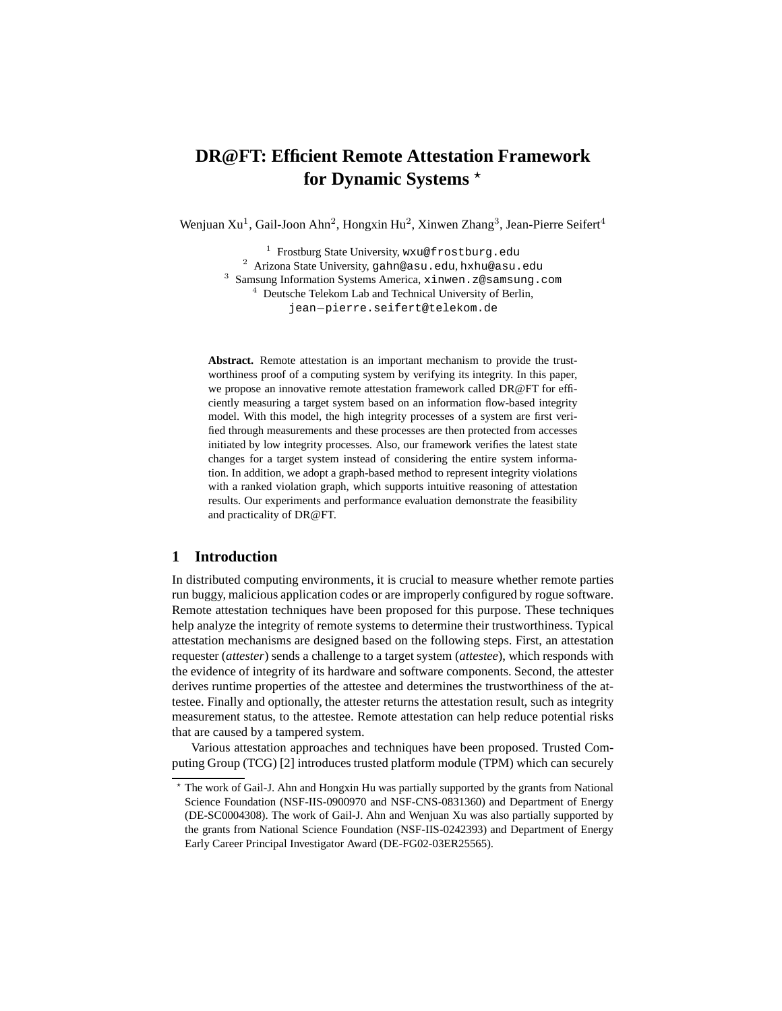# **DR@FT: Efficient Remote Attestation Framework for Dynamic Systems** <sup>⋆</sup>

Wenjuan Xu<sup>1</sup>, Gail-Joon Ahn<sup>2</sup>, Hongxin Hu<sup>2</sup>, Xinwen Zhang<sup>3</sup>, Jean-Pierre Seifert<sup>4</sup>

<sup>1</sup> Frostburg State University, wxu@frostburg.edu <sup>2</sup> Arizona State University, gahn@asu.edu, hxhu@asu.edu 3 Samsung Information Systems America, xinwen.z@samsung.com <sup>4</sup> Deutsche Telekom Lab and Technical University of Berlin, jean−pierre.seifert@telekom.de

**Abstract.** Remote attestation is an important mechanism to provide the trustworthiness proof of a computing system by verifying its integrity. In this paper, we propose an innovative remote attestation framework called DR@FT for efficiently measuring a target system based on an information flow-based integrity model. With this model, the high integrity processes of a system are first verified through measurements and these processes are then protected from accesses initiated by low integrity processes. Also, our framework verifies the latest state changes for a target system instead of considering the entire system information. In addition, we adopt a graph-based method to represent integrity violations with a ranked violation graph, which supports intuitive reasoning of attestation results. Our experiments and performance evaluation demonstrate the feasibility and practicality of DR@FT.

# **1 Introduction**

In distributed computing environments, it is crucial to measure whether remote parties run buggy, malicious application codes or are improperly configured by rogue software. Remote attestation techniques have been proposed for this purpose. These techniques help analyze the integrity of remote systems to determine their trustworthiness. Typical attestation mechanisms are designed based on the following steps. First, an attestation requester (*attester*) sends a challenge to a target system (*attestee*), which responds with the evidence of integrity of its hardware and software components. Second, the attester derives runtime properties of the attestee and determines the trustworthiness of the attestee. Finally and optionally, the attester returns the attestation result, such as integrity measurement status, to the attestee. Remote attestation can help reduce potential risks that are caused by a tampered system.

Various attestation approaches and techniques have been proposed. Trusted Computing Group (TCG) [2] introduces trusted platform module (TPM) which can securely

The work of Gail-J. Ahn and Hongxin Hu was partially supported by the grants from National Science Foundation (NSF-IIS-0900970 and NSF-CNS-0831360) and Department of Energy (DE-SC0004308). The work of Gail-J. Ahn and Wenjuan Xu was also partially supported by the grants from National Science Foundation (NSF-IIS-0242393) and Department of Energy Early Career Principal Investigator Award (DE-FG02-03ER25565).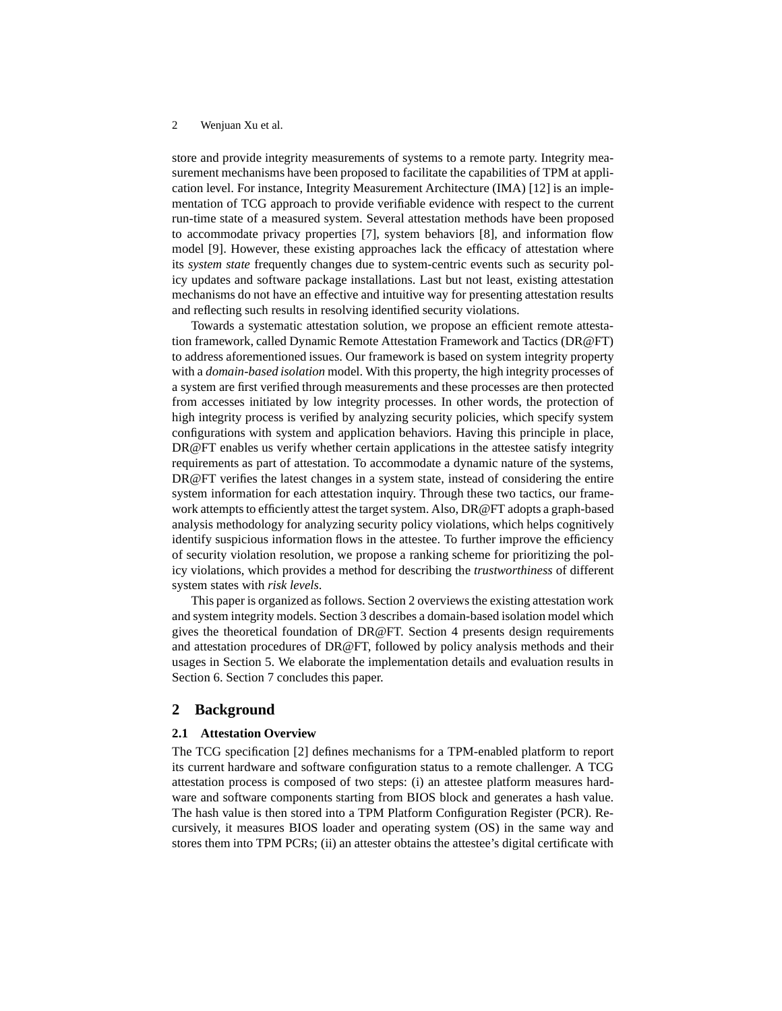store and provide integrity measurements of systems to a remote party. Integrity measurement mechanisms have been proposed to facilitate the capabilities of TPM at application level. For instance, Integrity Measurement Architecture (IMA) [12] is an implementation of TCG approach to provide verifiable evidence with respect to the current run-time state of a measured system. Several attestation methods have been proposed to accommodate privacy properties [7], system behaviors [8], and information flow model [9]. However, these existing approaches lack the efficacy of attestation where its *system state* frequently changes due to system-centric events such as security policy updates and software package installations. Last but not least, existing attestation mechanisms do not have an effective and intuitive way for presenting attestation results and reflecting such results in resolving identified security violations.

Towards a systematic attestation solution, we propose an efficient remote attestation framework, called Dynamic Remote Attestation Framework and Tactics (DR@FT) to address aforementioned issues. Our framework is based on system integrity property with a *domain-based isolation* model. With this property, the high integrity processes of a system are first verified through measurements and these processes are then protected from accesses initiated by low integrity processes. In other words, the protection of high integrity process is verified by analyzing security policies, which specify system configurations with system and application behaviors. Having this principle in place, DR@FT enables us verify whether certain applications in the attestee satisfy integrity requirements as part of attestation. To accommodate a dynamic nature of the systems, DR@FT verifies the latest changes in a system state, instead of considering the entire system information for each attestation inquiry. Through these two tactics, our framework attempts to efficiently attest the target system. Also, DR@FT adopts a graph-based analysis methodology for analyzing security policy violations, which helps cognitively identify suspicious information flows in the attestee. To further improve the efficiency of security violation resolution, we propose a ranking scheme for prioritizing the policy violations, which provides a method for describing the *trustworthiness* of different system states with *risk levels*.

This paper is organized as follows. Section 2 overviews the existing attestation work and system integrity models. Section 3 describes a domain-based isolation model which gives the theoretical foundation of DR@FT. Section 4 presents design requirements and attestation procedures of DR@FT, followed by policy analysis methods and their usages in Section 5. We elaborate the implementation details and evaluation results in Section 6. Section 7 concludes this paper.

## **2 Background**

#### **2.1 Attestation Overview**

The TCG specification [2] defines mechanisms for a TPM-enabled platform to report its current hardware and software configuration status to a remote challenger. A TCG attestation process is composed of two steps: (i) an attestee platform measures hardware and software components starting from BIOS block and generates a hash value. The hash value is then stored into a TPM Platform Configuration Register (PCR). Recursively, it measures BIOS loader and operating system (OS) in the same way and stores them into TPM PCRs; (ii) an attester obtains the attestee's digital certificate with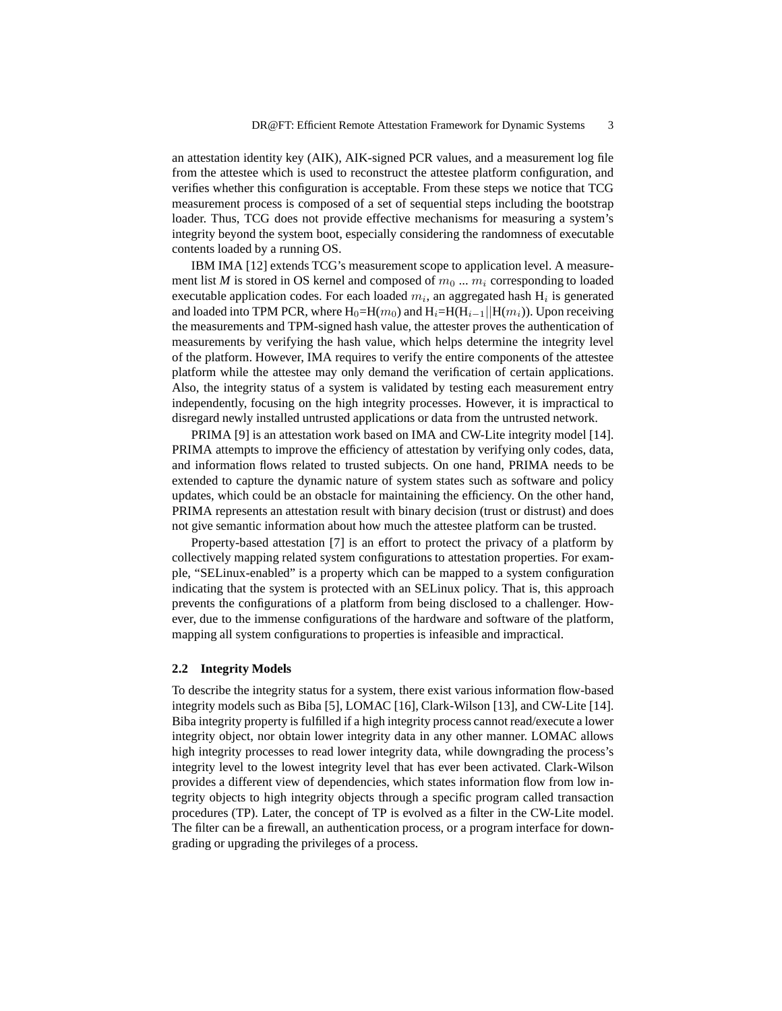an attestation identity key (AIK), AIK-signed PCR values, and a measurement log file from the attestee which is used to reconstruct the attestee platform configuration, and verifies whether this configuration is acceptable. From these steps we notice that TCG measurement process is composed of a set of sequential steps including the bootstrap loader. Thus, TCG does not provide effective mechanisms for measuring a system's integrity beyond the system boot, especially considering the randomness of executable contents loaded by a running OS.

IBM IMA [12] extends TCG's measurement scope to application level. A measurement list *M* is stored in OS kernel and composed of  $m_0$  ...  $m_i$  corresponding to loaded executable application codes. For each loaded  $m_i$ , an aggregated hash  $H_i$  is generated and loaded into TPM PCR, where H<sub>0</sub>=H( $m_0$ ) and H<sub>i</sub>=H( $H_{i-1}$ ||H( $m_i$ )). Upon receiving the measurements and TPM-signed hash value, the attester proves the authentication of measurements by verifying the hash value, which helps determine the integrity level of the platform. However, IMA requires to verify the entire components of the attestee platform while the attestee may only demand the verification of certain applications. Also, the integrity status of a system is validated by testing each measurement entry independently, focusing on the high integrity processes. However, it is impractical to disregard newly installed untrusted applications or data from the untrusted network.

PRIMA [9] is an attestation work based on IMA and CW-Lite integrity model [14]. PRIMA attempts to improve the efficiency of attestation by verifying only codes, data, and information flows related to trusted subjects. On one hand, PRIMA needs to be extended to capture the dynamic nature of system states such as software and policy updates, which could be an obstacle for maintaining the efficiency. On the other hand, PRIMA represents an attestation result with binary decision (trust or distrust) and does not give semantic information about how much the attestee platform can be trusted.

Property-based attestation [7] is an effort to protect the privacy of a platform by collectively mapping related system configurations to attestation properties. For example, "SELinux-enabled" is a property which can be mapped to a system configuration indicating that the system is protected with an SELinux policy. That is, this approach prevents the configurations of a platform from being disclosed to a challenger. However, due to the immense configurations of the hardware and software of the platform, mapping all system configurations to properties is infeasible and impractical.

#### **2.2 Integrity Models**

To describe the integrity status for a system, there exist various information flow-based integrity models such as Biba [5], LOMAC [16], Clark-Wilson [13], and CW-Lite [14]. Biba integrity property is fulfilled if a high integrity process cannot read/execute a lower integrity object, nor obtain lower integrity data in any other manner. LOMAC allows high integrity processes to read lower integrity data, while downgrading the process's integrity level to the lowest integrity level that has ever been activated. Clark-Wilson provides a different view of dependencies, which states information flow from low integrity objects to high integrity objects through a specific program called transaction procedures (TP). Later, the concept of TP is evolved as a filter in the CW-Lite model. The filter can be a firewall, an authentication process, or a program interface for downgrading or upgrading the privileges of a process.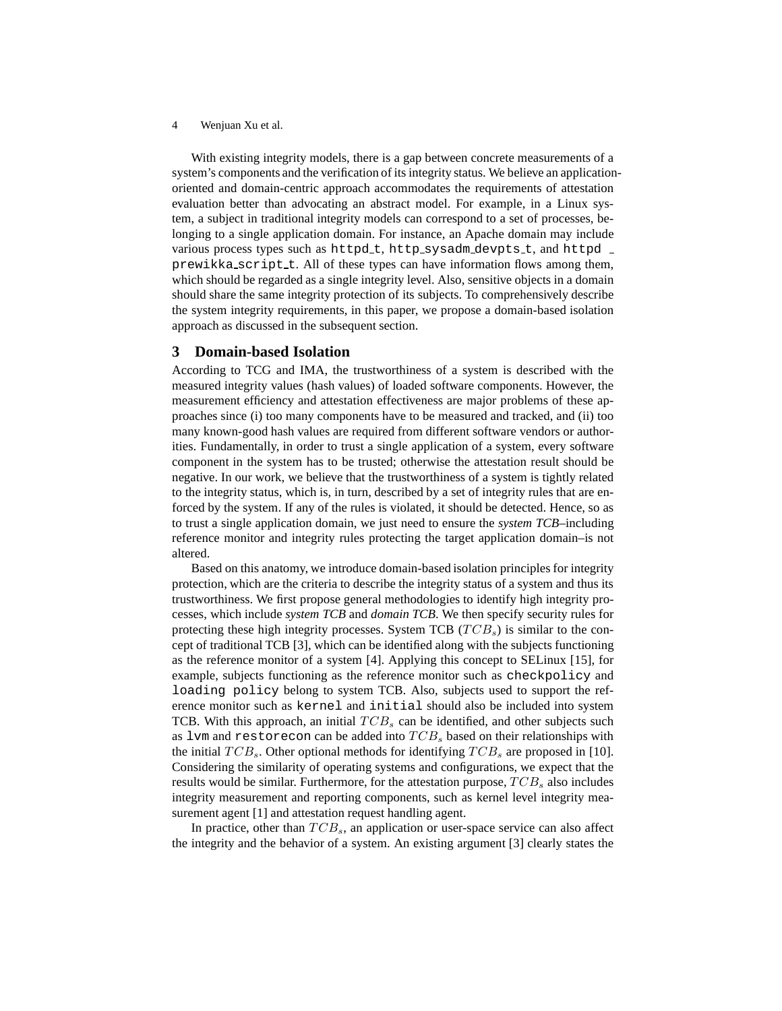With existing integrity models, there is a gap between concrete measurements of a system's components and the verification of its integrity status. We believe an applicationoriented and domain-centric approach accommodates the requirements of attestation evaluation better than advocating an abstract model. For example, in a Linux system, a subject in traditional integrity models can correspond to a set of processes, belonging to a single application domain. For instance, an Apache domain may include various process types such as httpd\_t, http\_sysadm\_devpts\_t, and httpd \_ prewikka\_script\_t. All of these types can have information flows among them, which should be regarded as a single integrity level. Also, sensitive objects in a domain should share the same integrity protection of its subjects. To comprehensively describe the system integrity requirements, in this paper, we propose a domain-based isolation approach as discussed in the subsequent section.

## **3 Domain-based Isolation**

According to TCG and IMA, the trustworthiness of a system is described with the measured integrity values (hash values) of loaded software components. However, the measurement efficiency and attestation effectiveness are major problems of these approaches since (i) too many components have to be measured and tracked, and (ii) too many known-good hash values are required from different software vendors or authorities. Fundamentally, in order to trust a single application of a system, every software component in the system has to be trusted; otherwise the attestation result should be negative. In our work, we believe that the trustworthiness of a system is tightly related to the integrity status, which is, in turn, described by a set of integrity rules that are enforced by the system. If any of the rules is violated, it should be detected. Hence, so as to trust a single application domain, we just need to ensure the *system TCB*–including reference monitor and integrity rules protecting the target application domain–is not altered.

Based on this anatomy, we introduce domain-based isolation principles for integrity protection, which are the criteria to describe the integrity status of a system and thus its trustworthiness. We first propose general methodologies to identify high integrity processes, which include *system TCB* and *domain TCB*. We then specify security rules for protecting these high integrity processes. System TCB  $(TCB<sub>s</sub>)$  is similar to the concept of traditional TCB [3], which can be identified along with the subjects functioning as the reference monitor of a system [4]. Applying this concept to SELinux [15], for example, subjects functioning as the reference monitor such as checkpolicy and loading policy belong to system TCB. Also, subjects used to support the reference monitor such as kernel and initial should also be included into system TCB. With this approach, an initial  $TCB<sub>s</sub>$  can be identified, and other subjects such as lvm and restorecon can be added into  $TCB<sub>s</sub>$  based on their relationships with the initial  $TCB<sub>s</sub>$ . Other optional methods for identifying  $TCB<sub>s</sub>$  are proposed in [10]. Considering the similarity of operating systems and configurations, we expect that the results would be similar. Furthermore, for the attestation purpose,  $TCB<sub>s</sub>$  also includes integrity measurement and reporting components, such as kernel level integrity measurement agent [1] and attestation request handling agent.

In practice, other than  $TCB<sub>s</sub>$ , an application or user-space service can also affect the integrity and the behavior of a system. An existing argument [3] clearly states the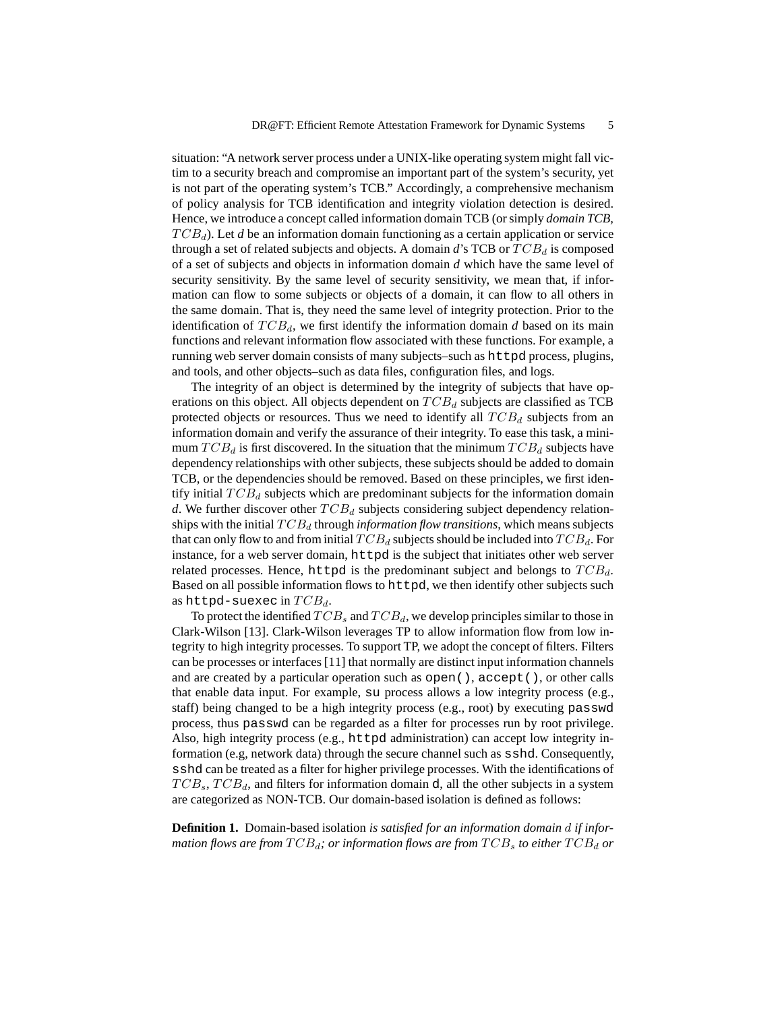situation: "A network server process under a UNIX-like operating system might fall victim to a security breach and compromise an important part of the system's security, yet is not part of the operating system's TCB." Accordingly, a comprehensive mechanism of policy analysis for TCB identification and integrity violation detection is desired. Hence, we introduce a concept called information domain TCB (or simply *domain TCB,*  $TCB<sub>d</sub>$ ). Let *d* be an information domain functioning as a certain application or service through a set of related subjects and objects. A domain  $d$ 's TCB or  $TCB_d$  is composed of a set of subjects and objects in information domain *d* which have the same level of security sensitivity. By the same level of security sensitivity, we mean that, if information can flow to some subjects or objects of a domain, it can flow to all others in the same domain. That is, they need the same level of integrity protection. Prior to the identification of  $TCB_d$ , we first identify the information domain *d* based on its main functions and relevant information flow associated with these functions. For example, a running web server domain consists of many subjects–such as httpd process, plugins, and tools, and other objects–such as data files, configuration files, and logs.

The integrity of an object is determined by the integrity of subjects that have operations on this object. All objects dependent on  $TCB<sub>d</sub>$  subjects are classified as TCB protected objects or resources. Thus we need to identify all  $TCB<sub>d</sub>$  subjects from an information domain and verify the assurance of their integrity. To ease this task, a minimum  $TCB_d$  is first discovered. In the situation that the minimum  $TCB_d$  subjects have dependency relationships with other subjects, these subjects should be added to domain TCB, or the dependencies should be removed. Based on these principles, we first identify initial  $TCB_d$  subjects which are predominant subjects for the information domain *d*. We further discover other  $TCB_d$  subjects considering subject dependency relationships with the initial  $TCB_d$  through *information flow transitions*, which means subjects that can only flow to and from initial  $TCB_d$  subjects should be included into  $TCB_d$ . For instance, for a web server domain, httpd is the subject that initiates other web server related processes. Hence, httpd is the predominant subject and belongs to  $TCB_d$ . Based on all possible information flows to httpd, we then identify other subjects such as httpd-suexec in  $TCB_d$ .

To protect the identified  $TCB_s$  and  $TCB_d$ , we develop principles similar to those in Clark-Wilson [13]. Clark-Wilson leverages TP to allow information flow from low integrity to high integrity processes. To support TP, we adopt the concept of filters. Filters can be processes or interfaces [11] that normally are distinct input information channels and are created by a particular operation such as open(), accept(), or other calls that enable data input. For example, su process allows a low integrity process (e.g., staff) being changed to be a high integrity process (e.g., root) by executing passwd process, thus passwd can be regarded as a filter for processes run by root privilege. Also, high integrity process (e.g., httpd administration) can accept low integrity information (e.g, network data) through the secure channel such as sshd. Consequently, sshd can be treated as a filter for higher privilege processes. With the identifications of  $TCB<sub>s</sub>$ ,  $TCB<sub>d</sub>$ , and filters for information domain d, all the other subjects in a system are categorized as NON-TCB. Our domain-based isolation is defined as follows:

**Definition 1.** Domain-based isolation *is satisfied for an information domain* d *if information flows are from*  $TCB_d$ *; or information flows are from*  $TCB_s$  *to either*  $TCB_d$  *or*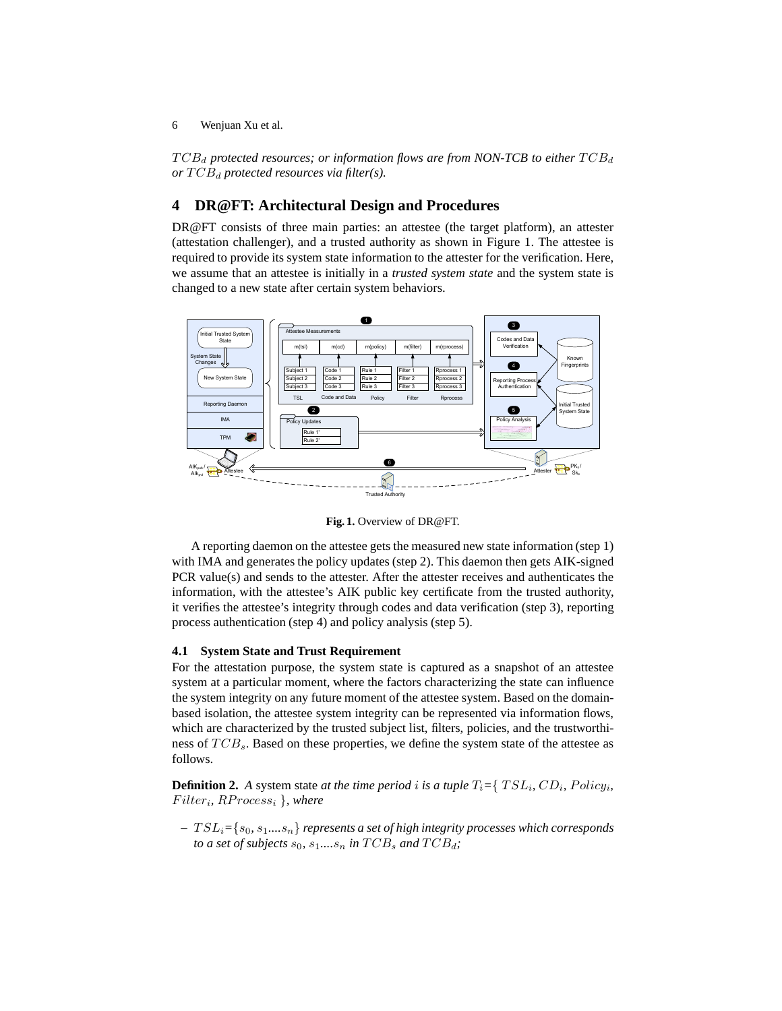$TCB_d$  protected resources; or information flows are from NON-TCB to either  $TCB_d$ *or*  $TCB_d$  *protected resources via filter(s).* 

# **4 DR@FT: Architectural Design and Procedures**

DR@FT consists of three main parties: an attestee (the target platform), an attester (attestation challenger), and a trusted authority as shown in Figure 1. The attestee is required to provide its system state information to the attester for the verification. Here, we assume that an attestee is initially in a *trusted system state* and the system state is changed to a new state after certain system behaviors.



**Fig. 1.** Overview of DR@FT.

A reporting daemon on the attestee gets the measured new state information (step 1) with IMA and generates the policy updates (step 2). This daemon then gets AIK-signed PCR value(s) and sends to the attester. After the attester receives and authenticates the information, with the attestee's AIK public key certificate from the trusted authority, it verifies the attestee's integrity through codes and data verification (step 3), reporting process authentication (step 4) and policy analysis (step 5).

## **4.1 System State and Trust Requirement**

For the attestation purpose, the system state is captured as a snapshot of an attestee system at a particular moment, where the factors characterizing the state can influence the system integrity on any future moment of the attestee system. Based on the domainbased isolation, the attestee system integrity can be represented via information flows, which are characterized by the trusted subject list, filters, policies, and the trustworthiness of  $TCB<sub>s</sub>$ . Based on these properties, we define the system state of the attestee as follows.

**Definition 2.** A system state *at the time period i is a tuple*  $T_i = \{ TSL_i, CD_i, Policy_i,$ Filter<sup>i</sup> *,* RProcess<sup>i</sup> }*, where*

*–* TSLi*=*{s0*,* s1*....*sn} *represents a set of high integrity processes which corresponds to a set of subjects*  $s_0$ ,  $s_1$ .... $s_n$  *in*  $TCB_s$  *and*  $TCB_d$ ;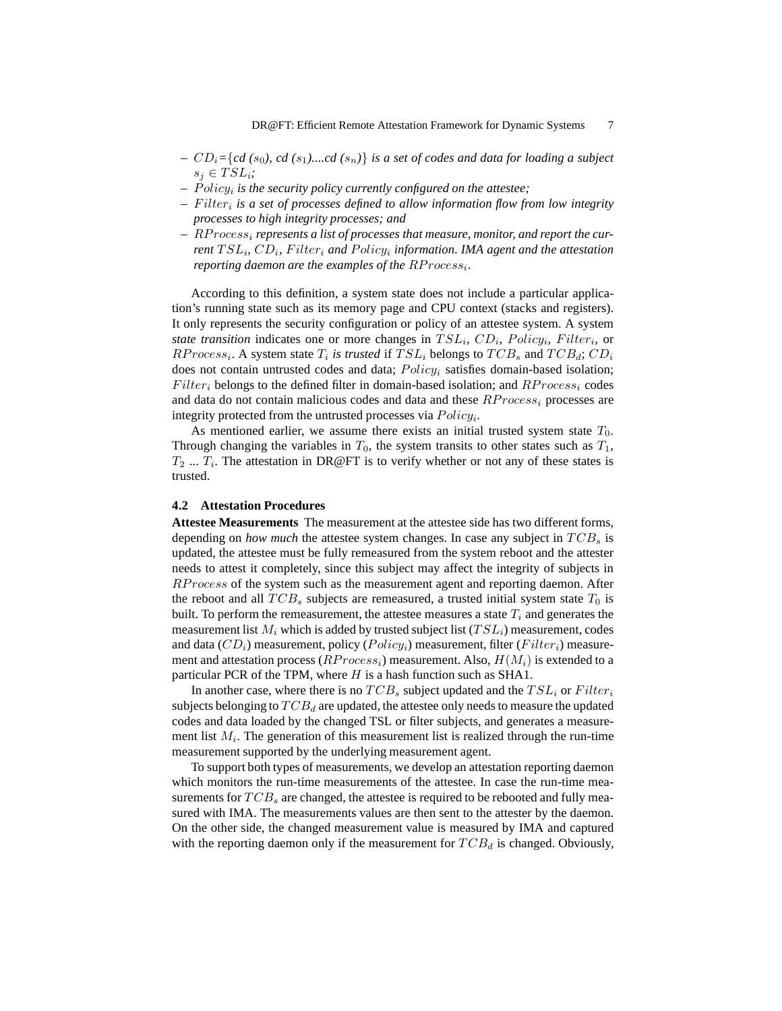- $\sim CD_i = \{cd(s_0), cd(s_1),...cd(s_n)\}\$ is a set of codes and data for loading a subject  $s_i \in TSL_i$ ;
- *–* Policy<sup>i</sup> *is the security policy currently configured on the attestee;*
- $-$  Filter<sub>i</sub> is a set of processes defined to allow information flow from low integrity *processes to high integrity processes; and*
- *–* RProcess<sup>i</sup> *represents a list of processes that measure, monitor, and report the current*  $TSL_i$ ,  $CD_i$ ,  $Filter_i$  and  $Policy_i$  information. IMA agent and the attestation reporting daemon are the examples of the RP rocess<sub>i</sub>.

According to this definition, a system state does not include a particular application's running state such as its memory page and CPU context (stacks and registers). It only represents the security configuration or policy of an attestee system. A system *state transition* indicates one or more changes in  $TSL_i$ ,  $CD_i$ ,  $Policy_i$ ,  $Filter_i$ , or  $RProcess_i$ . A system state  $T_i$  is trusted if  $TSL_i$  belongs to  $TCB_s$  and  $TCB_d$ ;  $CD_i$ does not contain untrusted codes and data;  $Policy_i$  satisfies domain-based isolation;  $Filter_i$  belongs to the defined filter in domain-based isolation; and  $RProcess_i$  codes and data do not contain malicious codes and data and these  $RProcess<sub>i</sub>$  processes are integrity protected from the untrusted processes via  $Policy_i$ .

As mentioned earlier, we assume there exists an initial trusted system state  $T_0$ . Through changing the variables in  $T_0$ , the system transits to other states such as  $T_1$ ,  $T_2$  ...  $T_i$ . The attestation in DR@FT is to verify whether or not any of these states is trusted.

## **4.2 Attestation Procedures**

**Attestee Measurements** The measurement at the attestee side has two different forms, depending on *how much* the attestee system changes. In case any subject in  $TCB<sub>s</sub>$  is updated, the attestee must be fully remeasured from the system reboot and the attester needs to attest it completely, since this subject may affect the integrity of subjects in RProcess of the system such as the measurement agent and reporting daemon. After the reboot and all  $TCB<sub>s</sub>$  subjects are remeasured, a trusted initial system state  $T<sub>0</sub>$  is built. To perform the remeasurement, the attestee measures a state  $T_i$  and generates the measurement list  $M_i$  which is added by trusted subject list  $(TSL_i)$  measurement, codes and data  $(CD_i)$  measurement, policy  $(Policy_i)$  measurement, filter  $(Filter_i)$  measurement and attestation process  $(RProcess<sub>i</sub>)$  measurement. Also,  $H(M<sub>i</sub>)$  is extended to a particular PCR of the TPM, where  $H$  is a hash function such as SHA1.

In another case, where there is no  $TCB_s$  subject updated and the  $TSL_i$  or  $Filter_i$ subjects belonging to  $TCB_d$  are updated, the attestee only needs to measure the updated codes and data loaded by the changed TSL or filter subjects, and generates a measurement list  $M_i$ . The generation of this measurement list is realized through the run-time measurement supported by the underlying measurement agent.

To support both types of measurements, we develop an attestation reporting daemon which monitors the run-time measurements of the attestee. In case the run-time measurements for  $TCB<sub>s</sub>$  are changed, the attestee is required to be rebooted and fully measured with IMA. The measurements values are then sent to the attester by the daemon. On the other side, the changed measurement value is measured by IMA and captured with the reporting daemon only if the measurement for  $TCB_d$  is changed. Obviously,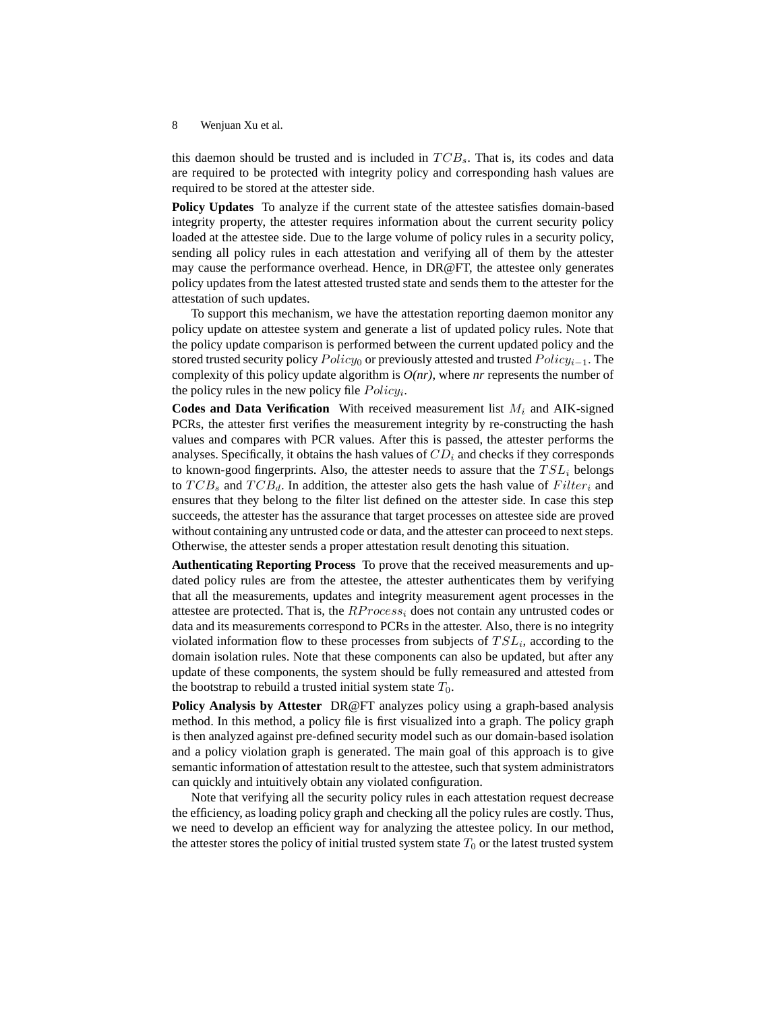this daemon should be trusted and is included in  $TCB<sub>s</sub>$ . That is, its codes and data are required to be protected with integrity policy and corresponding hash values are required to be stored at the attester side.

**Policy Updates** To analyze if the current state of the attestee satisfies domain-based integrity property, the attester requires information about the current security policy loaded at the attestee side. Due to the large volume of policy rules in a security policy, sending all policy rules in each attestation and verifying all of them by the attester may cause the performance overhead. Hence, in DR@FT, the attestee only generates policy updates from the latest attested trusted state and sends them to the attester for the attestation of such updates.

To support this mechanism, we have the attestation reporting daemon monitor any policy update on attestee system and generate a list of updated policy rules. Note that the policy update comparison is performed between the current updated policy and the stored trusted security policy Policy<sub>0</sub> or previously attested and trusted Policy<sub>i−1</sub>. The complexity of this policy update algorithm is *O(nr)*, where *nr* represents the number of the policy rules in the new policy file  $Policy_i$ .

**Codes and Data Verification** With received measurement list  $M_i$  and AIK-signed PCRs, the attester first verifies the measurement integrity by re-constructing the hash values and compares with PCR values. After this is passed, the attester performs the analyses. Specifically, it obtains the hash values of  $CD_i$  and checks if they corresponds to known-good fingerprints. Also, the attester needs to assure that the  $TSL_i$  belongs to  $TCB<sub>s</sub>$  and  $TCB<sub>d</sub>$ . In addition, the attester also gets the hash value of Filter<sub>i</sub> and ensures that they belong to the filter list defined on the attester side. In case this step succeeds, the attester has the assurance that target processes on attestee side are proved without containing any untrusted code or data, and the attester can proceed to next steps. Otherwise, the attester sends a proper attestation result denoting this situation.

**Authenticating Reporting Process** To prove that the received measurements and updated policy rules are from the attestee, the attester authenticates them by verifying that all the measurements, updates and integrity measurement agent processes in the attestee are protected. That is, the  $RP$ rocess<sub>i</sub> does not contain any untrusted codes or data and its measurements correspond to PCRs in the attester. Also, there is no integrity violated information flow to these processes from subjects of  $TSL_i$ , according to the domain isolation rules. Note that these components can also be updated, but after any update of these components, the system should be fully remeasured and attested from the bootstrap to rebuild a trusted initial system state  $T_0$ .

**Policy Analysis by Attester** DR@FT analyzes policy using a graph-based analysis method. In this method, a policy file is first visualized into a graph. The policy graph is then analyzed against pre-defined security model such as our domain-based isolation and a policy violation graph is generated. The main goal of this approach is to give semantic information of attestation result to the attestee, such that system administrators can quickly and intuitively obtain any violated configuration.

Note that verifying all the security policy rules in each attestation request decrease the efficiency, as loading policy graph and checking all the policy rules are costly. Thus, we need to develop an efficient way for analyzing the attestee policy. In our method, the attester stores the policy of initial trusted system state  $T_0$  or the latest trusted system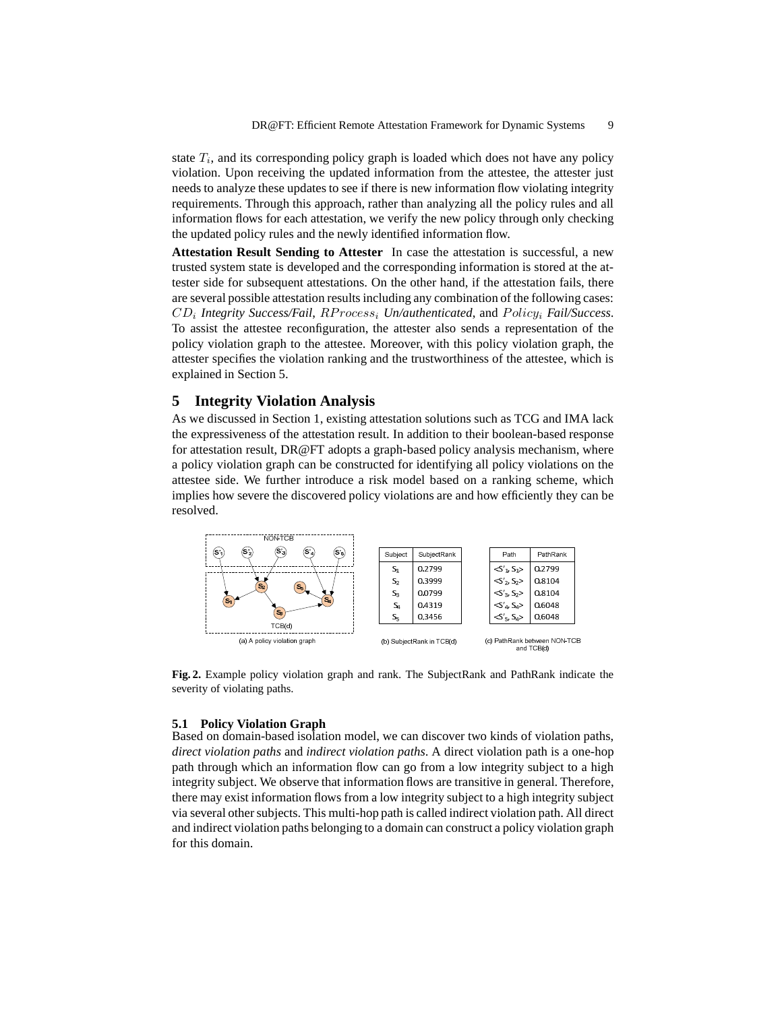state  $T_i$ , and its corresponding policy graph is loaded which does not have any policy violation. Upon receiving the updated information from the attestee, the attester just needs to analyze these updates to see if there is new information flow violating integrity requirements. Through this approach, rather than analyzing all the policy rules and all information flows for each attestation, we verify the new policy through only checking the updated policy rules and the newly identified information flow.

**Attestation Result Sending to Attester** In case the attestation is successful, a new trusted system state is developed and the corresponding information is stored at the attester side for subsequent attestations. On the other hand, if the attestation fails, there are several possible attestation results including any combination of the following cases: CD<sup>i</sup> *Integrity Success/Fail*, RProcess<sup>i</sup> *Un/authenticated*, and Policy<sup>i</sup> *Fail/Success*. To assist the attestee reconfiguration, the attester also sends a representation of the policy violation graph to the attestee. Moreover, with this policy violation graph, the attester specifies the violation ranking and the trustworthiness of the attestee, which is explained in Section 5.

# **5 Integrity Violation Analysis**

As we discussed in Section 1, existing attestation solutions such as TCG and IMA lack the expressiveness of the attestation result. In addition to their boolean-based response for attestation result, DR@FT adopts a graph-based policy analysis mechanism, where a policy violation graph can be constructed for identifying all policy violations on the attestee side. We further introduce a risk model based on a ranking scheme, which implies how severe the discovered policy violations are and how efficiently they can be resolved.



**Fig. 2.** Example policy violation graph and rank. The SubjectRank and PathRank indicate the severity of violating paths.

## **5.1 Policy Violation Graph**

Based on domain-based isolation model, we can discover two kinds of violation paths, *direct violation paths* and *indirect violation paths*. A direct violation path is a one-hop path through which an information flow can go from a low integrity subject to a high integrity subject. We observe that information flows are transitive in general. Therefore, there may exist information flows from a low integrity subject to a high integrity subject via several other subjects. This multi-hop path is called indirect violation path. All direct and indirect violation paths belonging to a domain can construct a policy violation graph for this domain.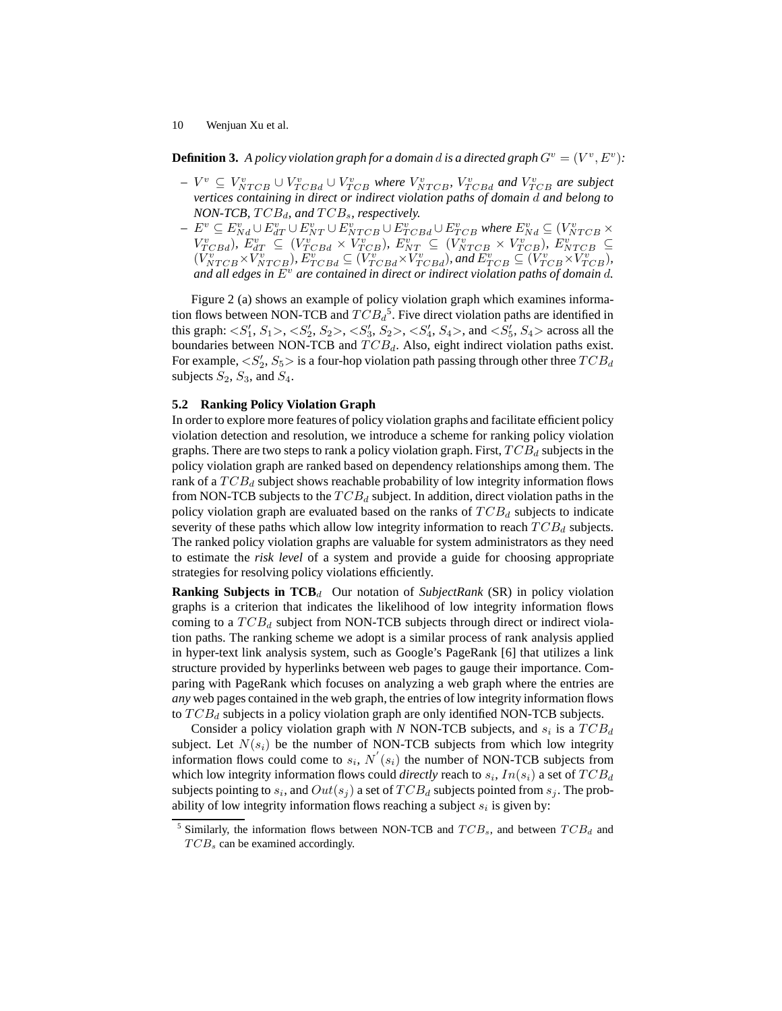**Definition 3.** A policy violation graph for a domain d is a directed graph  $G^v = (V^v, E^v)$ :

- $V^v \subseteq V^v_{NTCB} \cup V^v_{TCBd} \cup V^v_{TCB}$  where  $V^v_{NTCB}$ ,  $V^v_{TCBd}$  and  $V^v_{TCB}$  are subject *vertices containing in direct or indirect violation paths of domain* d *and belong to NON-TCB, TCB*<sub>d</sub>, and *TCB*<sub>s</sub>, respectively.
- $E^v \subseteq E^v_{Nd} \cup E^v_{dT} \cup E^v_{NT} \cup E^v_{TCB} \cup E^v_{TCBd} \cup E^v_{TCB}$  where  $E^v_{Nd} \subseteq (V^v_{NTCB} \times V^v_{TCBd})$  $V^v_{TCBd}$ ),  $E^v_{dT} \subseteq (V^v_{TCBd} \times V^v_{TCB})$ ,  $E^v_{NT} \subseteq (V^v_{NTCB} \times V^v_{TCB})$ ,  $E^v_{NTCB} \subseteq$  $(V_{NTCB}^{v} \times V_{NTCB}^{v}), E_{TCBd}^{v} \subseteq (V_{TCBd}^{v} \times V_{TCBd}^{v}),$  and  $E_{TCB}^{v} \subseteq (V_{TCB}^{v} \times V_{TCB}^{v}),$ *and all edges in* E<sup>v</sup> *are contained in direct or indirect violation paths of domain* d*.*

Figure 2 (a) shows an example of policy violation graph which examines information flows between NON-TCB and  $TCB_d^5$ . Five direct violation paths are identified in this graph:  $\langle S_1', S_1 \rangle, \langle S_2', S_2 \rangle, \langle S_3', S_2 \rangle, \langle S_4', S_4 \rangle$ , and  $\langle S_5', S_4 \rangle$  across all the boundaries between NON-TCB and  $TCB_d$ . Also, eight indirect violation paths exist. For example,  $\langle S_2', S_5 \rangle$  is a four-hop violation path passing through other three  $TCB_d$ subjects  $S_2$ ,  $S_3$ , and  $S_4$ .

## **5.2 Ranking Policy Violation Graph**

In order to explore more features of policy violation graphs and facilitate efficient policy violation detection and resolution, we introduce a scheme for ranking policy violation graphs. There are two steps to rank a policy violation graph. First,  $TCB_d$  subjects in the policy violation graph are ranked based on dependency relationships among them. The rank of a  $TCB<sub>d</sub>$  subject shows reachable probability of low integrity information flows from NON-TCB subjects to the  $TCB_d$  subject. In addition, direct violation paths in the policy violation graph are evaluated based on the ranks of  $TCB<sub>d</sub>$  subjects to indicate severity of these paths which allow low integrity information to reach  $TCB<sub>d</sub>$  subjects. The ranked policy violation graphs are valuable for system administrators as they need to estimate the *risk level* of a system and provide a guide for choosing appropriate strategies for resolving policy violations efficiently.

**Ranking Subjects in**  $TCB<sub>d</sub>$  Our notation of *SubjectRank* (SR) in policy violation graphs is a criterion that indicates the likelihood of low integrity information flows coming to a  $TCB<sub>d</sub>$  subject from NON-TCB subjects through direct or indirect violation paths. The ranking scheme we adopt is a similar process of rank analysis applied in hyper-text link analysis system, such as Google's PageRank [6] that utilizes a link structure provided by hyperlinks between web pages to gauge their importance. Comparing with PageRank which focuses on analyzing a web graph where the entries are *any* web pages contained in the web graph, the entries of low integrity information flows to  $TCB_d$  subjects in a policy violation graph are only identified NON-TCB subjects.

Consider a policy violation graph with *N* NON-TCB subjects, and  $s_i$  is a  $TCB_d$ subject. Let  $N(s_i)$  be the number of NON-TCB subjects from which low integrity information flows could come to  $s_i$ ,  $N'(s_i)$  the number of NON-TCB subjects from which low integrity information flows could *directly* reach to  $s_i$ ,  $In(s_i)$  a set of  $TCB_d$ subjects pointing to  $s_i$ , and  $Out(s_j)$  a set of  $TCB_d$  subjects pointed from  $s_j$ . The probability of low integrity information flows reaching a subject  $s_i$  is given by:

<sup>&</sup>lt;sup>5</sup> Similarly, the information flows between NON-TCB and  $TCB_s$ , and between  $TCB_d$  and  $TCB<sub>s</sub>$  can be examined accordingly.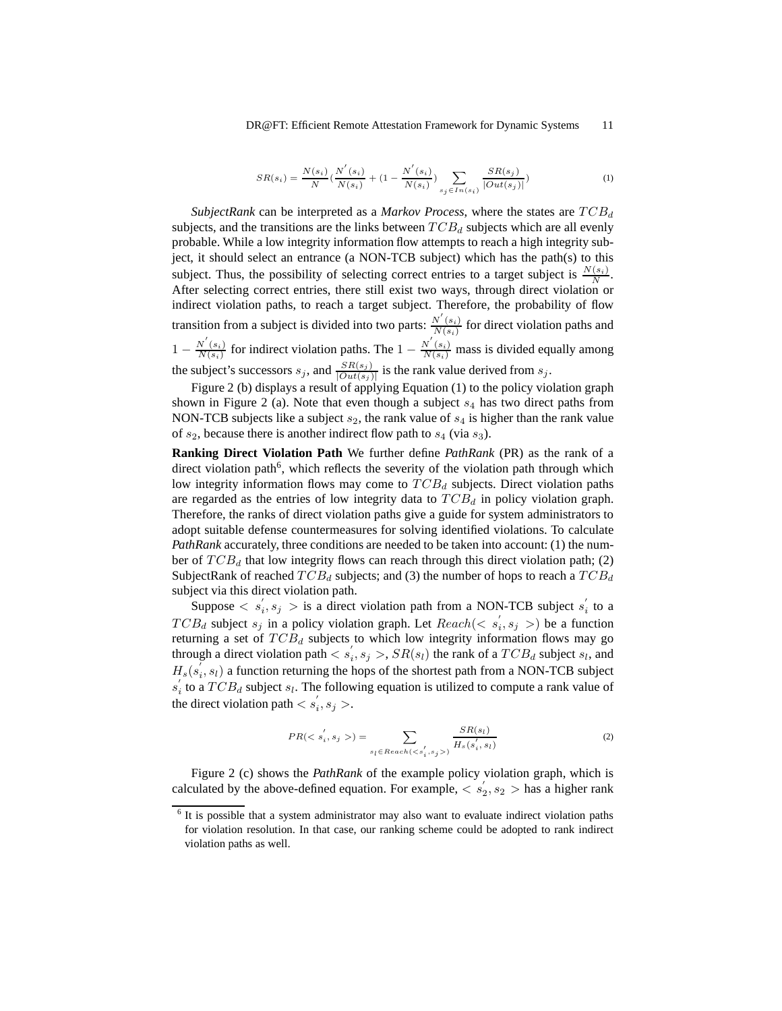$$
SR(s_i) = \frac{N(s_i)}{N} \left( \frac{N'(s_i)}{N(s_i)} + (1 - \frac{N'(s_i)}{N(s_i)}) \sum_{s_j \in In(s_i)} \frac{SR(s_j)}{|Out(s_j)|} \right)
$$
(1)

*SubjectRank* can be interpreted as a *Markov Process*, where the states are  $TCB_d$ subjects, and the transitions are the links between  $TCB_d$  subjects which are all evenly probable. While a low integrity information flow attempts to reach a high integrity subject, it should select an entrance (a NON-TCB subject) which has the path(s) to this subject. Thus, the possibility of selecting correct entries to a target subject is  $\frac{N(s_i)}{N}$ . After selecting correct entries, there still exist two ways, through direct violation or indirect violation paths, to reach a target subject. Therefore, the probability of flow transition from a subject is divided into two parts:  $\frac{N'(s_i)}{N(s_i)}$  $\frac{N(s_i)}{N(s_i)}$  for direct violation paths and  $1-\frac{N'(s_i)}{N(s_i)}$  $\frac{N'(s_i)}{N(s_i)}$  for indirect violation paths. The  $1 - \frac{N'(s_i)}{N(s_i)}$  mass is divided equally among the subject's successors  $s_j$ , and  $\frac{SR(s_j)}{|Out(s_j)|}$  is the rank value derived from  $s_j$ .

Figure 2 (b) displays a result of applying Equation (1) to the policy violation graph shown in Figure 2 (a). Note that even though a subject  $s_4$  has two direct paths from NON-TCB subjects like a subject  $s_2$ , the rank value of  $s_4$  is higher than the rank value of  $s_2$ , because there is another indirect flow path to  $s_4$  (via  $s_3$ ).

**Ranking Direct Violation Path** We further define *PathRank* (PR) as the rank of a direct violation path<sup>6</sup>, which reflects the severity of the violation path through which low integrity information flows may come to  $TCB<sub>d</sub>$  subjects. Direct violation paths are regarded as the entries of low integrity data to  $TCB<sub>d</sub>$  in policy violation graph. Therefore, the ranks of direct violation paths give a guide for system administrators to adopt suitable defense countermeasures for solving identified violations. To calculate *PathRank* accurately, three conditions are needed to be taken into account: (1) the number of  $TCB<sub>d</sub>$  that low integrity flows can reach through this direct violation path; (2) SubjectRank of reached  $TCB_d$  subjects; and (3) the number of hops to reach a  $TCB_d$ subject via this direct violation path.

Suppose  $\langle s_i' \rangle$  $i<sub>i</sub>$ ,  $s<sub>j</sub>$  > is a direct violation path from a NON-TCB subject  $s<sub>i</sub>$  $i$ <sub>i</sub> to a  $TCB_d$  subject  $s_j$  in a policy violation graph. Let  $Reach(< s'_i, s_j>)$  be a function returning a set of  $TCB<sub>d</sub>$  subjects to which low integrity information flows may go through a direct violation path  $\langle s'_i \rangle$  $I_i, s_j >$ ,  $SR(s_l)$  the rank of a  $TCB_d$  subject  $s_l$ , and  $H_s(s_i^{\prime})$  $i<sub>i</sub>$ ,  $s<sub>l</sub>$ ) a function returning the hops of the shortest path from a NON-TCB subject  $s_i'$  $i_i$  to a  $TCB_d$  subject  $s_l$ . The following equation is utilized to compute a rank value of the direct violation path  $\langle s_i^{'} \rangle$  $i, s_j >.$ 

$$
PR() = \sum_{s_l \in Recall()} \frac{SR(s_l)}{H_s(s_i', s_l)}
$$
(2)

Figure 2 (c) shows the *PathRank* of the example policy violation graph, which is calculated by the above-defined equation. For example,  $\langle s_2 \rangle$  $y_2, s_2 >$  has a higher rank

<sup>&</sup>lt;sup>6</sup> It is possible that a system administrator may also want to evaluate indirect violation paths for violation resolution. In that case, our ranking scheme could be adopted to rank indirect violation paths as well.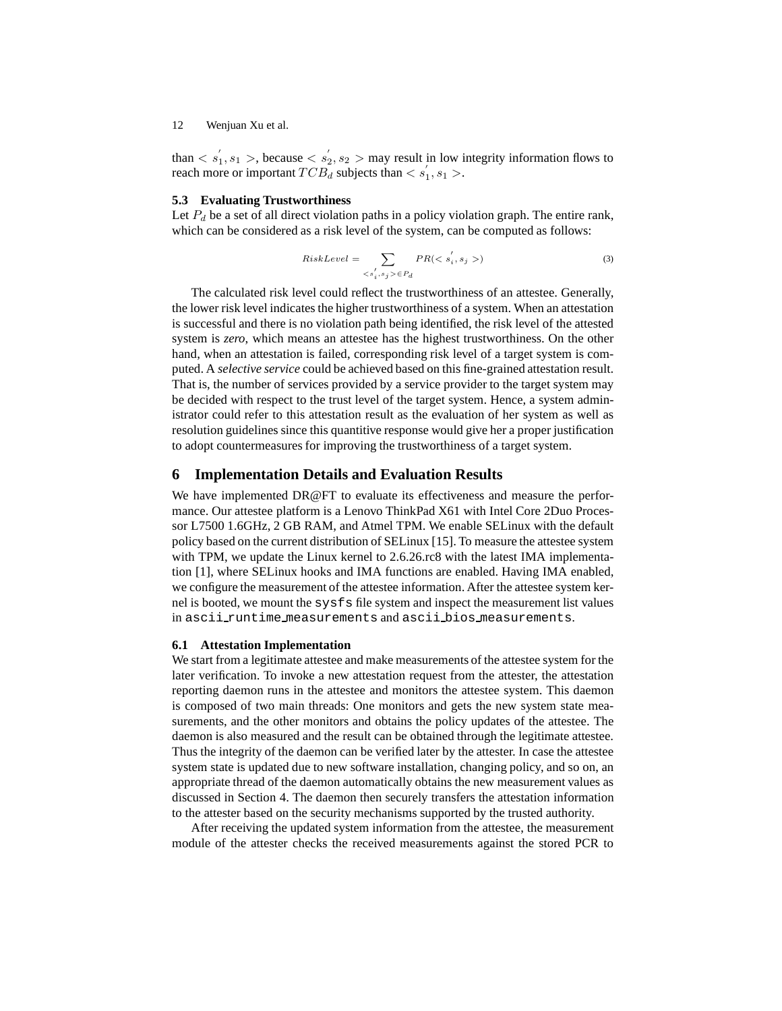than  $\langle s_1^{'}\rangle$  $y'_1, s_1 >$ , because  $\langle s'_2 \rangle$  $Z_2$ ,  $s_2$  > may result in low integrity information flows to reach more or important  $TCB_d$  subjects than  $\langle s_1 \rangle$  $i_1, s_1 >.$ 

#### **5.3 Evaluating Trustworthiness**

Let  $P_d$  be a set of all direct violation paths in a policy violation graph. The entire rank, which can be considered as a risk level of the system, can be computed as follows:

$$
RiskLevel = \sum_{\langle s_i', s_j \rangle \in P_d} PR(\langle s_i', s_j \rangle) \tag{3}
$$

The calculated risk level could reflect the trustworthiness of an attestee. Generally, the lower risk level indicates the higher trustworthiness of a system. When an attestation is successful and there is no violation path being identified, the risk level of the attested system is *zero*, which means an attestee has the highest trustworthiness. On the other hand, when an attestation is failed, corresponding risk level of a target system is computed. A *selective service* could be achieved based on this fine-grained attestation result. That is, the number of services provided by a service provider to the target system may be decided with respect to the trust level of the target system. Hence, a system administrator could refer to this attestation result as the evaluation of her system as well as resolution guidelines since this quantitive response would give her a proper justification to adopt countermeasures for improving the trustworthiness of a target system.

# **6 Implementation Details and Evaluation Results**

We have implemented DR@FT to evaluate its effectiveness and measure the performance. Our attestee platform is a Lenovo ThinkPad X61 with Intel Core 2Duo Processor L7500 1.6GHz, 2 GB RAM, and Atmel TPM. We enable SELinux with the default policy based on the current distribution of SELinux [15]. To measure the attestee system with TPM, we update the Linux kernel to 2.6.26.rc8 with the latest IMA implementation [1], where SELinux hooks and IMA functions are enabled. Having IMA enabled, we configure the measurement of the attestee information. After the attestee system kernel is booted, we mount the sysfs file system and inspect the measurement list values in ascii runtime measurements and ascii bios measurements.

## **6.1 Attestation Implementation**

We start from a legitimate attestee and make measurements of the attestee system for the later verification. To invoke a new attestation request from the attester, the attestation reporting daemon runs in the attestee and monitors the attestee system. This daemon is composed of two main threads: One monitors and gets the new system state measurements, and the other monitors and obtains the policy updates of the attestee. The daemon is also measured and the result can be obtained through the legitimate attestee. Thus the integrity of the daemon can be verified later by the attester. In case the attestee system state is updated due to new software installation, changing policy, and so on, an appropriate thread of the daemon automatically obtains the new measurement values as discussed in Section 4. The daemon then securely transfers the attestation information to the attester based on the security mechanisms supported by the trusted authority.

After receiving the updated system information from the attestee, the measurement module of the attester checks the received measurements against the stored PCR to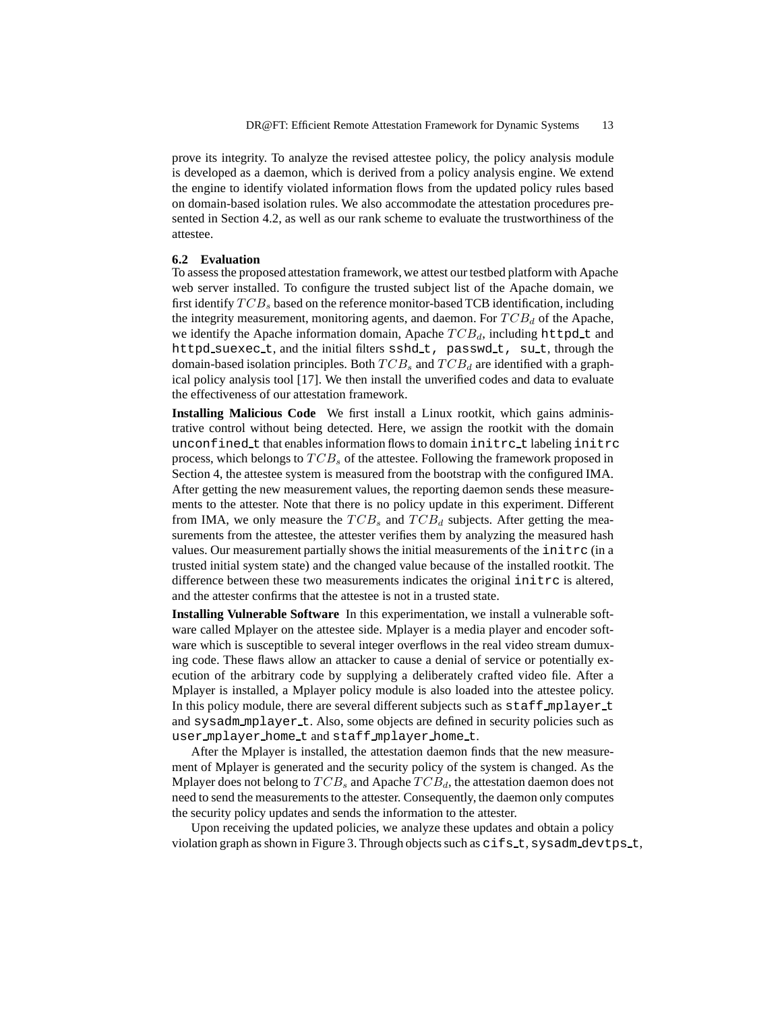prove its integrity. To analyze the revised attestee policy, the policy analysis module is developed as a daemon, which is derived from a policy analysis engine. We extend the engine to identify violated information flows from the updated policy rules based on domain-based isolation rules. We also accommodate the attestation procedures presented in Section 4.2, as well as our rank scheme to evaluate the trustworthiness of the attestee.

## **6.2 Evaluation**

To assess the proposed attestation framework, we attest our testbed platform with Apache web server installed. To configure the trusted subject list of the Apache domain, we first identify  $TCB_s$  based on the reference monitor-based TCB identification, including the integrity measurement, monitoring agents, and daemon. For  $TCB_d$  of the Apache, we identify the Apache information domain, Apache  $TCB_d$ , including httpd t and httpd\_suexec\_t, and the initial filters sshd\_t, passwd\_t, su\_t, through the domain-based isolation principles. Both  $TCB<sub>s</sub>$  and  $TCB<sub>d</sub>$  are identified with a graphical policy analysis tool [17]. We then install the unverified codes and data to evaluate the effectiveness of our attestation framework.

**Installing Malicious Code** We first install a Linux rootkit, which gains administrative control without being detected. Here, we assign the rootkit with the domain unconfined t that enables information flows to domain initrc t labeling initrc process, which belongs to  $TCB<sub>s</sub>$  of the attestee. Following the framework proposed in Section 4, the attestee system is measured from the bootstrap with the configured IMA. After getting the new measurement values, the reporting daemon sends these measurements to the attester. Note that there is no policy update in this experiment. Different from IMA, we only measure the  $TCB<sub>s</sub>$  and  $TCB<sub>d</sub>$  subjects. After getting the measurements from the attestee, the attester verifies them by analyzing the measured hash values. Our measurement partially shows the initial measurements of the initrc (in a trusted initial system state) and the changed value because of the installed rootkit. The difference between these two measurements indicates the original initrc is altered, and the attester confirms that the attestee is not in a trusted state.

**Installing Vulnerable Software** In this experimentation, we install a vulnerable software called Mplayer on the attestee side. Mplayer is a media player and encoder software which is susceptible to several integer overflows in the real video stream dumuxing code. These flaws allow an attacker to cause a denial of service or potentially execution of the arbitrary code by supplying a deliberately crafted video file. After a Mplayer is installed, a Mplayer policy module is also loaded into the attestee policy. In this policy module, there are several different subjects such as  $\text{staff\_mplayer\_t}$ and sysadm\_mplayer\_t. Also, some objects are defined in security policies such as user mplayer home t and staff mplayer home t.

After the Mplayer is installed, the attestation daemon finds that the new measurement of Mplayer is generated and the security policy of the system is changed. As the Mplayer does not belong to  $TCB_s$  and Apache  $TCB_d$ , the attestation daemon does not need to send the measurements to the attester. Consequently, the daemon only computes the security policy updates and sends the information to the attester.

Upon receiving the updated policies, we analyze these updates and obtain a policy violation graph as shown in Figure 3. Through objects such as  $c$ ifs  $t$ , sysadm devtps  $t$ ,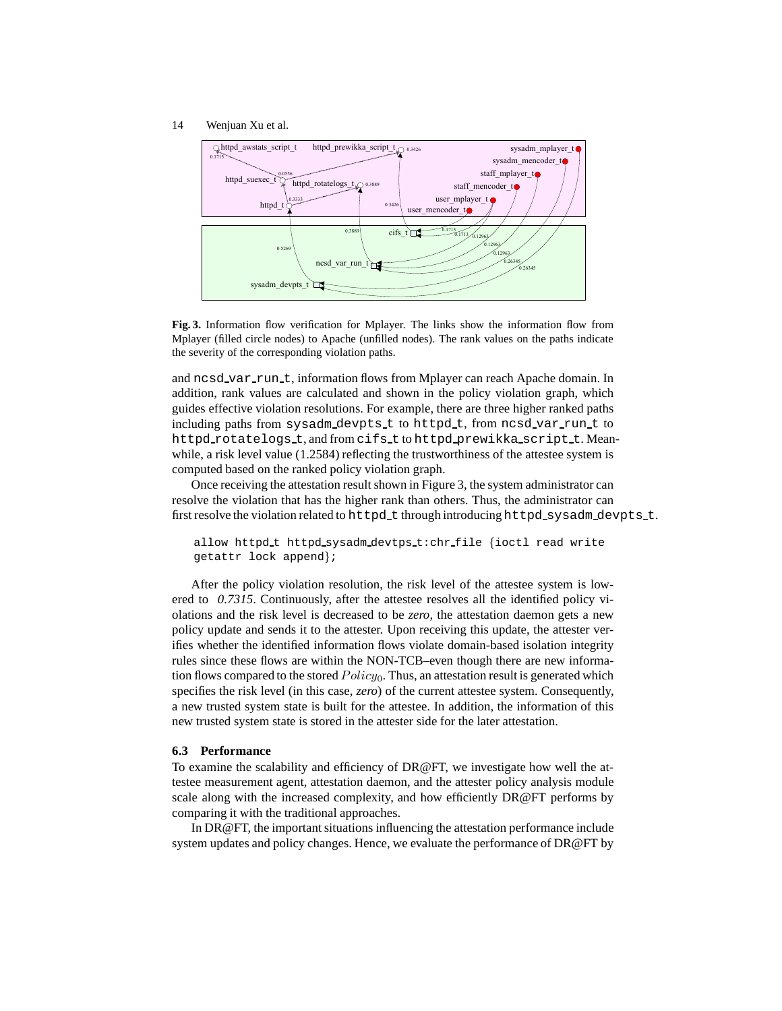

**Fig. 3.** Information flow verification for Mplayer. The links show the information flow from Mplayer (filled circle nodes) to Apache (unfilled nodes). The rank values on the paths indicate the severity of the corresponding violation paths.

and ncsd\_var\_run\_t, information flows from Mplayer can reach Apache domain. In addition, rank values are calculated and shown in the policy violation graph, which guides effective violation resolutions. For example, there are three higher ranked paths including paths from sysadm\_devpts\_t to httpd\_t, from ncsd\_var\_run\_t to httpd rotatelogs t, and from cifs t to httpd prewikka script t. Meanwhile, a risk level value  $(1.2584)$  reflecting the trustworthiness of the attestee system is computed based on the ranked policy violation graph.

Once receiving the attestation result shown in Figure 3, the system administrator can resolve the violation that has the higher rank than others. Thus, the administrator can first resolve the violation related to httpd\_t through introducing httpd\_sysadm\_devpts\_t.

```
allow httpd t httpd sysadm devtps t:chr_file {ioctl read write
getattr lock append};
```
After the policy violation resolution, the risk level of the attestee system is lowered to *0.7315*. Continuously, after the attestee resolves all the identified policy violations and the risk level is decreased to be *zero*, the attestation daemon gets a new policy update and sends it to the attester. Upon receiving this update, the attester verifies whether the identified information flows violate domain-based isolation integrity rules since these flows are within the NON-TCB–even though there are new information flows compared to the stored  $Policy_0$ . Thus, an attestation result is generated which specifies the risk level (in this case, *zero*) of the current attestee system. Consequently, a new trusted system state is built for the attestee. In addition, the information of this new trusted system state is stored in the attester side for the later attestation.

## **6.3 Performance**

To examine the scalability and efficiency of DR@FT, we investigate how well the attestee measurement agent, attestation daemon, and the attester policy analysis module scale along with the increased complexity, and how efficiently DR@FT performs by comparing it with the traditional approaches.

In DR@FT, the important situations influencing the attestation performance include system updates and policy changes. Hence, we evaluate the performance of DR@FT by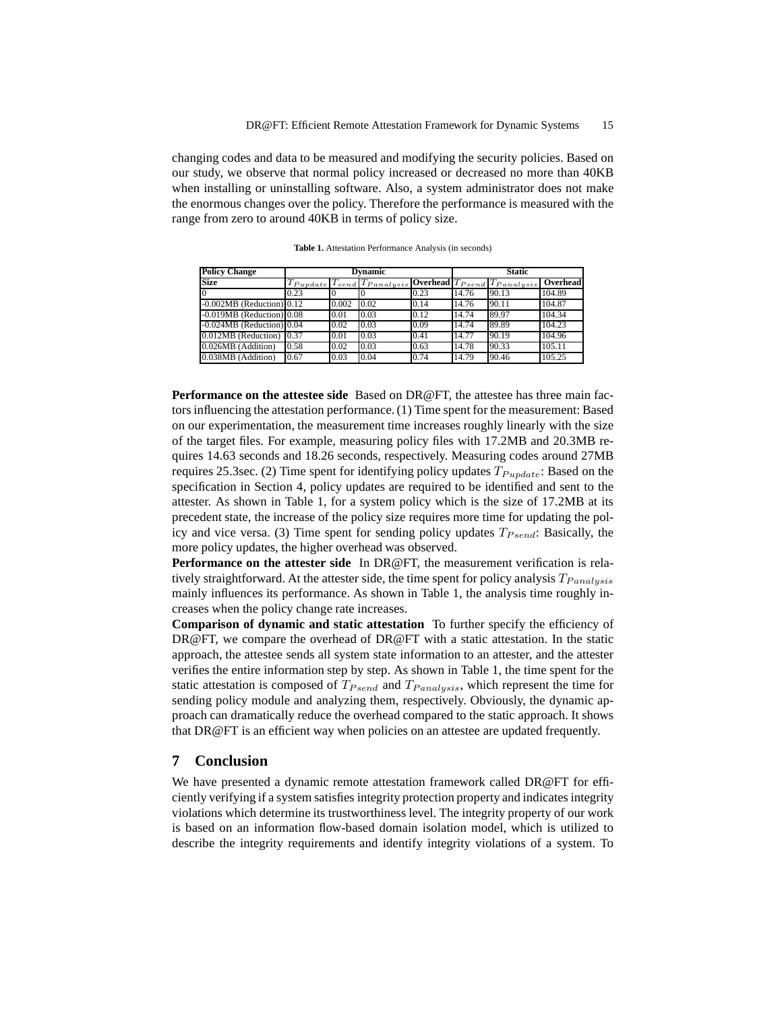changing codes and data to be measured and modifying the security policies. Based on our study, we observe that normal policy increased or decreased no more than 40KB when installing or uninstalling software. Also, a system administrator does not make the enormous changes over the policy. Therefore the performance is measured with the range from zero to around 40KB in terms of policy size.

| <b>Policy Change</b>          | <b>Dynamic</b> |       |      |      | <b>Static</b> |                                                                               |          |
|-------------------------------|----------------|-------|------|------|---------------|-------------------------------------------------------------------------------|----------|
| <b>Size</b>                   |                |       |      |      |               | $T_{Pupdate}$ $T_{send}$ $T_{Panalysis}$ Overhead $T_{Psend}$ $T_{Panalysis}$ | Overhead |
|                               | 0.23           |       |      | 0.23 | 14.76         | 90.13                                                                         | 104.89   |
| $-0.002MB$ (Reduction) 0.12   |                | 0.002 | 0.02 | 0.14 | 14.76         | 90.11                                                                         | 104.87   |
| $-0.019MB$ (Reduction) $0.08$ |                | 0.01  | 0.03 | 0.12 | 14.74         | 89.97                                                                         | 104.34   |
| $-0.024MB$ (Reduction) $0.04$ |                | 0.02  | 0.03 | 0.09 | 14.74         | 89.89                                                                         | 104.23   |
| $0.012MB$ (Reduction) $0.37$  |                | 0.01  | 0.03 | 0.41 | 14.77         | 90.19                                                                         | 104.96   |
| 0.026MB (Addition)            | 0.58           | 0.02  | 0.03 | 0.63 | 14.78         | 90.33                                                                         | 105.11   |
| 0.038MB (Addition)            | 0.67           | 0.03  | 0.04 | 0.74 | 14.79         | 90.46                                                                         | 105.25   |

**Table 1.** Attestation Performance Analysis (in seconds)

**Performance on the attestee side** Based on DR@FT, the attestee has three main factors influencing the attestation performance. (1) Time spent for the measurement: Based on our experimentation, the measurement time increases roughly linearly with the size of the target files. For example, measuring policy files with 17.2MB and 20.3MB requires 14.63 seconds and 18.26 seconds, respectively. Measuring codes around 27MB requires 25.3sec. (2) Time spent for identifying policy updates  $T_{Pupdate}$ : Based on the specification in Section 4, policy updates are required to be identified and sent to the attester. As shown in Table 1, for a system policy which is the size of 17.2MB at its precedent state, the increase of the policy size requires more time for updating the policy and vice versa. (3) Time spent for sending policy updates  $T_{Psend}$ : Basically, the more policy updates, the higher overhead was observed.

**Performance on the attester side** In DR@FT, the measurement verification is relatively straightforward. At the attester side, the time spent for policy analysis  $T_{Panalysis}$ mainly influences its performance. As shown in Table 1, the analysis time roughly increases when the policy change rate increases.

**Comparison of dynamic and static attestation** To further specify the efficiency of DR@FT, we compare the overhead of DR@FT with a static attestation. In the static approach, the attestee sends all system state information to an attester, and the attester verifies the entire information step by step. As shown in Table 1, the time spent for the static attestation is composed of  $T_{Psend}$  and  $T_{Panalysis}$ , which represent the time for sending policy module and analyzing them, respectively. Obviously, the dynamic approach can dramatically reduce the overhead compared to the static approach. It shows that DR@FT is an efficient way when policies on an attestee are updated frequently.

# **7 Conclusion**

We have presented a dynamic remote attestation framework called DR@FT for efficiently verifying if a system satisfies integrity protection property and indicates integrity violations which determine its trustworthiness level. The integrity property of our work is based on an information flow-based domain isolation model, which is utilized to describe the integrity requirements and identify integrity violations of a system. To